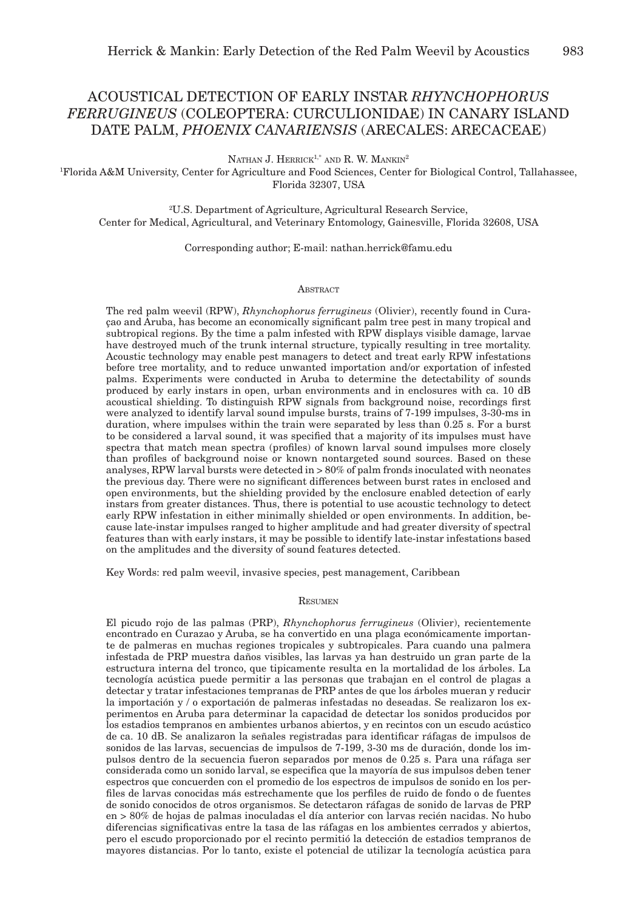# ACOUSTICAL DETECTION OF EARLY INSTAR *RHYNCHOPHORUS FERRUGINEUS* (COLEOPTERA: CURCULIONIDAE) IN CANARY ISLAND DATE PALM, *PHOENIX CANARIENSIS* (ARECALES: ARECACEAE)

NATHAN J. HERRICK<sup>1,\*</sup> AND R. W. MANKIN<sup>2</sup>

1 Florida A&M University, Center for Agriculture and Food Sciences, Center for Biological Control, Tallahassee, Florida 32307, USA

2 U.S. Department of Agriculture, Agricultural Research Service, Center for Medical, Agricultural, and Veterinary Entomology, Gainesville, Florida 32608, USA

Corresponding author; E-mail: nathan.herrick@famu.edu

# **ABSTRACT**

The red palm weevil (RPW), *Rhynchophorus ferrugineus* (Olivier), recently found in Curaçao and Aruba, has become an economically significant palm tree pest in many tropical and subtropical regions. By the time a palm infested with RPW displays visible damage, larvae have destroyed much of the trunk internal structure, typically resulting in tree mortality. Acoustic technology may enable pest managers to detect and treat early RPW infestations before tree mortality, and to reduce unwanted importation and/or exportation of infested palms. Experiments were conducted in Aruba to determine the detectability of sounds produced by early instars in open, urban environments and in enclosures with ca. 10 dB acoustical shielding. To distinguish RPW signals from background noise, recordings first were analyzed to identify larval sound impulse bursts, trains of 7-199 impulses, 3-30-ms in duration, where impulses within the train were separated by less than 0.25 s. For a burst to be considered a larval sound, it was specified that a majority of its impulses must have spectra that match mean spectra (profiles) of known larval sound impulses more closely than profiles of background noise or known nontargeted sound sources. Based on these analyses, RPW larval bursts were detected in > 80% of palm fronds inoculated with neonates the previous day. There were no significant differences between burst rates in enclosed and open environments, but the shielding provided by the enclosure enabled detection of early instars from greater distances. Thus, there is potential to use acoustic technology to detect early RPW infestation in either minimally shielded or open environments. In addition, because late-instar impulses ranged to higher amplitude and had greater diversity of spectral features than with early instars, it may be possible to identify late-instar infestations based on the amplitudes and the diversity of sound features detected.

Key Words: red palm weevil, invasive species, pest management, Caribbean

# Resumen

El picudo rojo de las palmas (PRP), *Rhynchophorus ferrugineus* (Olivier), recientemente encontrado en Curazao y Aruba, se ha convertido en una plaga económicamente importante de palmeras en muchas regiones tropicales y subtropicales. Para cuando una palmera infestada de PRP muestra daños visibles, las larvas ya han destruido un gran parte de la estructura interna del tronco, que tipicamente resulta en la mortalidad de los árboles. La tecnología acústica puede permitir a las personas que trabajan en el control de plagas a detectar y tratar infestaciones tempranas de PRP antes de que los árboles mueran y reducir la importación y / o exportación de palmeras infestadas no deseadas. Se realizaron los experimentos en Aruba para determinar la capacidad de detectar los sonidos producidos por los estadios tempranos en ambientes urbanos abiertos, y en recintos con un escudo acústico de ca. 10 dB. Se analizaron la señales registradas para identificar ráfagas de impulsos de sonidos de las larvas, secuencias de impulsos de 7-199, 3-30 ms de duración, donde los impulsos dentro de la secuencia fueron separados por menos de 0.25 s. Para una ráfaga ser considerada como un sonido larval, se especifica que la mayoría de sus impulsos deben tener espectros que concuerden con el promedio de los espectros de impulsos de sonido en los perfiles de larvas conocidas más estrechamente que los perfiles de ruido de fondo o de fuentes de sonido conocidos de otros organismos. Se detectaron ráfagas de sonido de larvas de PRP en > 80% de hojas de palmas inoculadas el día anterior con larvas recién nacidas. No hubo diferencias significativas entre la tasa de las ráfagas en los ambientes cerrados y abiertos, pero el escudo proporcionado por el recinto permitió la detección de estadios tempranos de mayores distancias. Por lo tanto, existe el potencial de utilizar la tecnología acústica para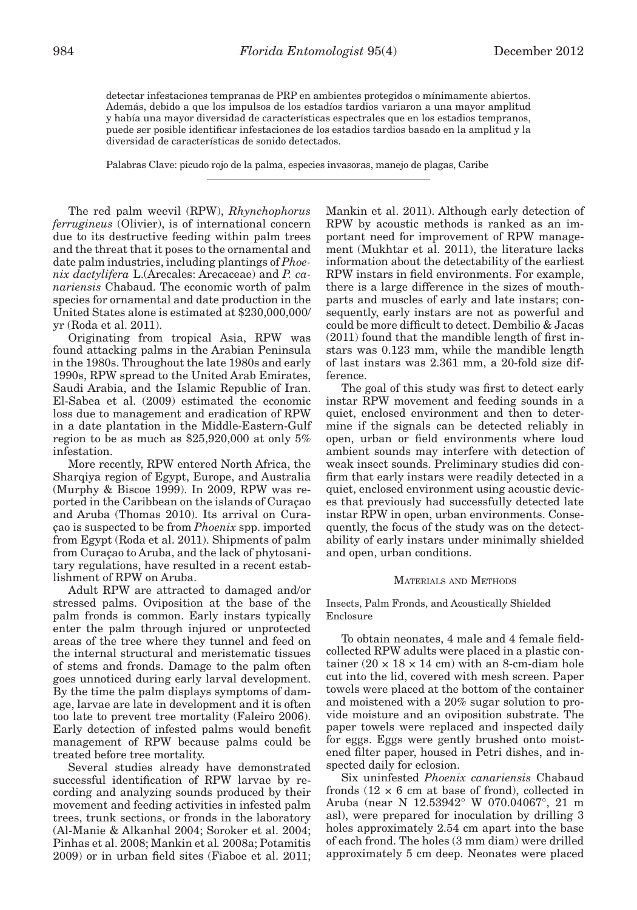detectar infestaciones tempranas de PRP en ambientes protegidos o mínimamente abiertos. Además, debido a que los impulsos de los estadíos tardios variaron a una mayor amplitud y había una mayor diversidad de características espectrales que en los estadios tempranos, puede ser posible identificar infestaciones de los estadios tardios basado en la amplitud y la diversidad de características de sonido detectados.

Palabras Clave: picudo rojo de la palma, especies invasoras, manejo de plagas, Caribe

The red palm weevil (RPW), *Rhynchophorus ferrugineus* (Olivier), is of international concern due to its destructive feeding within palm trees and the threat that it poses to the ornamental and date palm industries, including plantings of *Phoenix dactylifera* L.(Arecales: Arecaceae) and *P. canariensis* Chabaud. The economic worth of palm species for ornamental and date production in the United States alone is estimated at \$230,000,000/ yr (Roda et al. 2011).

Originating from tropical Asia, RPW was found attacking palms in the Arabian Peninsula in the 1980s. Throughout the late 1980s and early 1990s, RPW spread to the United Arab Emirates, Saudi Arabia, and the Islamic Republic of Iran. El-Sabea et al. (2009) estimated the economic loss due to management and eradication of RPW in a date plantation in the Middle-Eastern-Gulf region to be as much as \$25,920,000 at only 5% infestation.

More recently, RPW entered North Africa, the Sharqiya region of Egypt, Europe, and Australia (Murphy & Biscoe 1999). In 2009, RPW was reported in the Caribbean on the islands of Curaçao and Aruba (Thomas 2010). Its arrival on Curaçao is suspected to be from *Phoenix* spp. imported from Egypt (Roda et al. 2011). Shipments of palm from Curaçao to Aruba, and the lack of phytosanitary regulations, have resulted in a recent establishment of RPW on Aruba.

Adult RPW are attracted to damaged and/or stressed palms. Oviposition at the base of the palm fronds is common. Early instars typically enter the palm through injured or unprotected areas of the tree where they tunnel and feed on the internal structural and meristematic tissues of stems and fronds. Damage to the palm often goes unnoticed during early larval development. By the time the palm displays symptoms of damage, larvae are late in development and it is often too late to prevent tree mortality (Faleiro 2006). Early detection of infested palms would benefit management of RPW because palms could be treated before tree mortality.

Several studies already have demonstrated successful identification of RPW larvae by recording and analyzing sounds produced by their movement and feeding activities in infested palm trees, trunk sections, or fronds in the laboratory (Al-Manie & Alkanhal 2004; Soroker et al. 2004; Pinhas et al. 2008; Mankin et al*.* 2008a; Potamitis 2009) or in urban field sites (Fiaboe et al. 2011;

Mankin et al. 2011). Although early detection of RPW by acoustic methods is ranked as an important need for improvement of RPW management (Mukhtar et al. 2011), the literature lacks information about the detectability of the earliest RPW instars in field environments. For example, there is a large difference in the sizes of mouthparts and muscles of early and late instars; consequently, early instars are not as powerful and could be more difficult to detect. Dembilio & Jacas (2011) found that the mandible length of first instars was 0.123 mm, while the mandible length of last instars was 2.361 mm, a 20-fold size difference.

The goal of this study was first to detect early instar RPW movement and feeding sounds in a quiet, enclosed environment and then to determine if the signals can be detected reliably in open, urban or field environments where loud ambient sounds may interfere with detection of weak insect sounds. Preliminary studies did confirm that early instars were readily detected in a quiet, enclosed environment using acoustic devices that previously had successfully detected late instar RPW in open, urban environments. Consequently, the focus of the study was on the detectability of early instars under minimally shielded and open, urban conditions.

# Materials and Methods

# Insects, Palm Fronds, and Acoustically Shielded Enclosure

To obtain neonates, 4 male and 4 female fieldcollected RPW adults were placed in a plastic container  $(20 \times 18 \times 14 \text{ cm})$  with an 8-cm-diam hole cut into the lid, covered with mesh screen. Paper towels were placed at the bottom of the container and moistened with a 20% sugar solution to provide moisture and an oviposition substrate. The paper towels were replaced and inspected daily for eggs. Eggs were gently brushed onto moistened filter paper, housed in Petri dishes, and inspected daily for eclosion.

Six uninfested *Phoenix canariensis* Chabaud fronds  $(12 \times 6$  cm at base of frond), collected in Aruba (near N 12.53942° W 070.04067°, 21 m asl), were prepared for inoculation by drilling 3 holes approximately 2.54 cm apart into the base of each frond. The holes (3 mm diam) were drilled approximately 5 cm deep. Neonates were placed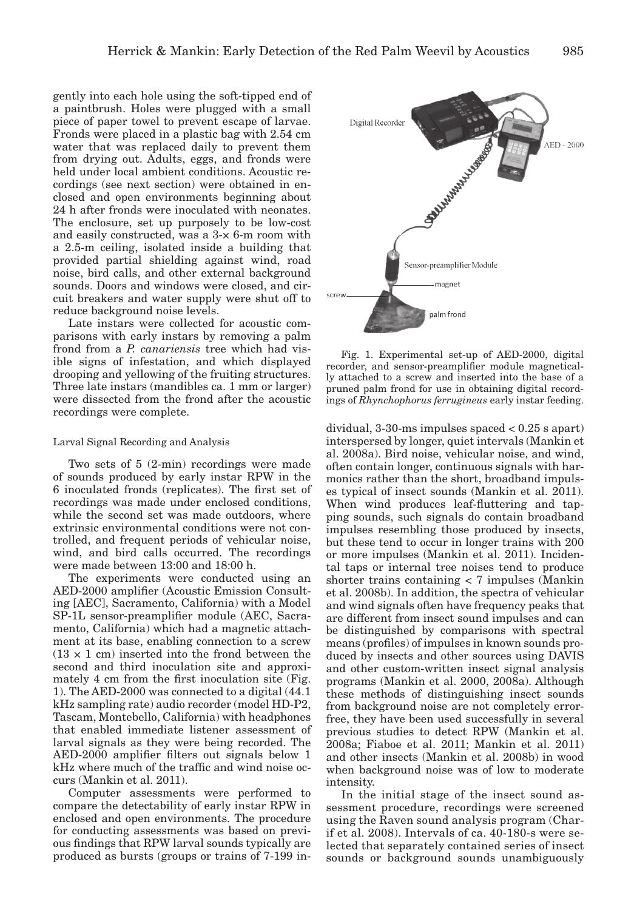gently into each hole using the soft-tipped end of a paintbrush. Holes were plugged with a small piece of paper towel to prevent escape of larvae. Fronds were placed in a plastic bag with 2.54 cm water that was replaced daily to prevent them from drying out. Adults, eggs, and fronds were held under local ambient conditions. Acoustic recordings (see next section) were obtained in enclosed and open environments beginning about 24 h after fronds were inoculated with neonates. The enclosure, set up purposely to be low-cost and easily constructed, was a 3-× 6-m room with a 2.5-m ceiling, isolated inside a building that provided partial shielding against wind, road noise, bird calls, and other external background sounds. Doors and windows were closed, and circuit breakers and water supply were shut off to reduce background noise levels.

Late instars were collected for acoustic comparisons with early instars by removing a palm frond from a *P. canariensis* tree which had visible signs of infestation, and which displayed drooping and yellowing of the fruiting structures. Three late instars (mandibles ca. 1 mm or larger) were dissected from the frond after the acoustic recordings were complete.

#### Larval Signal Recording and Analysis

Two sets of 5 (2-min) recordings were made of sounds produced by early instar RPW in the 6 inoculated fronds (replicates). The first set of recordings was made under enclosed conditions, while the second set was made outdoors, where extrinsic environmental conditions were not controlled, and frequent periods of vehicular noise, wind, and bird calls occurred. The recordings were made between 13:00 and 18:00 h.

The experiments were conducted using an AED-2000 amplifier (Acoustic Emission Consulting [AEC], Sacramento, California) with a Model SP-1L sensor-preamplifier module (AEC, Sacramento, California) which had a magnetic attachment at its base, enabling connection to a screw  $(13 \times 1$  cm) inserted into the frond between the second and third inoculation site and approximately 4 cm from the first inoculation site (Fig. 1). The AED-2000 was connected to a digital (44.1 kHz sampling rate) audio recorder (model HD-P2, Tascam, Montebello, California) with headphones that enabled immediate listener assessment of larval signals as they were being recorded. The AED-2000 amplifier filters out signals below 1 kHz where much of the traffic and wind noise occurs (Mankin et al. 2011).

Computer assessments were performed to compare the detectability of early instar RPW in enclosed and open environments. The procedure for conducting assessments was based on previous findings that RPW larval sounds typically are produced as bursts (groups or trains of 7-199 in-



Fig. 1. Experimental set-up of AED-2000, digital recorder, and sensor-preamplifier module magnetically attached to a screw and inserted into the base of a pruned palm frond for use in obtaining digital recordings of *Rhynchophorus ferrugineus* early instar feeding.

dividual, 3-30-ms impulses spaced < 0.25 s apart) interspersed by longer, quiet intervals (Mankin et al. 2008a). Bird noise, vehicular noise, and wind, often contain longer, continuous signals with harmonics rather than the short, broadband impulses typical of insect sounds (Mankin et al. 2011). When wind produces leaf-fluttering and tapping sounds, such signals do contain broadband impulses resembling those produced by insects, but these tend to occur in longer trains with 200 or more impulses (Mankin et al. 2011). Incidental taps or internal tree noises tend to produce shorter trains containing < 7 impulses (Mankin et al. 2008b). In addition, the spectra of vehicular and wind signals often have frequency peaks that are different from insect sound impulses and can be distinguished by comparisons with spectral means (profiles) of impulses in known sounds produced by insects and other sources using DAVIS and other custom-written insect signal analysis programs (Mankin et al. 2000, 2008a). Although these methods of distinguishing insect sounds from background noise are not completely errorfree, they have been used successfully in several previous studies to detect RPW (Mankin et al. 2008a; Fiaboe et al. 2011; Mankin et al. 2011) and other insects (Mankin et al. 2008b) in wood when background noise was of low to moderate intensity.

In the initial stage of the insect sound assessment procedure, recordings were screened using the Raven sound analysis program (Charif et al. 2008). Intervals of ca. 40-180-s were selected that separately contained series of insect sounds or background sounds unambiguously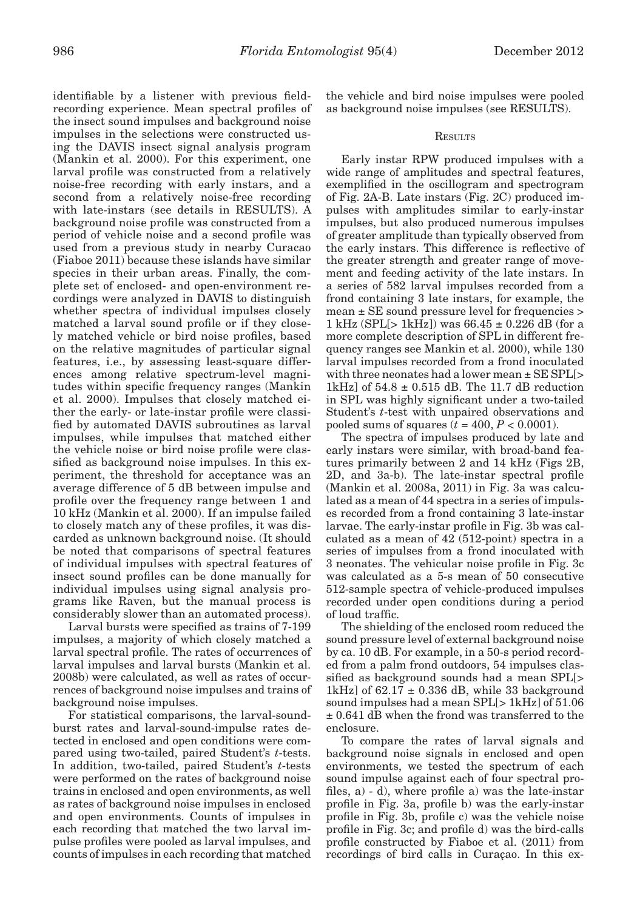identifiable by a listener with previous fieldrecording experience. Mean spectral profiles of the insect sound impulses and background noise impulses in the selections were constructed using the DAVIS insect signal analysis program (Mankin et al. 2000). For this experiment, one larval profile was constructed from a relatively noise-free recording with early instars, and a second from a relatively noise-free recording with late-instars (see details in RESULTS). A background noise profile was constructed from a period of vehicle noise and a second profile was used from a previous study in nearby Curacao (Fiaboe 2011) because these islands have similar species in their urban areas. Finally, the complete set of enclosed- and open-environment recordings were analyzed in DAVIS to distinguish whether spectra of individual impulses closely matched a larval sound profile or if they closely matched vehicle or bird noise profiles, based on the relative magnitudes of particular signal features, i.e., by assessing least-square differences among relative spectrum-level magnitudes within specific frequency ranges (Mankin et al. 2000). Impulses that closely matched either the early- or late-instar profile were classified by automated DAVIS subroutines as larval impulses, while impulses that matched either the vehicle noise or bird noise profile were classified as background noise impulses. In this experiment, the threshold for acceptance was an average difference of 5 dB between impulse and profile over the frequency range between 1 and 10 kHz (Mankin et al. 2000). If an impulse failed to closely match any of these profiles, it was discarded as unknown background noise. (It should be noted that comparisons of spectral features of individual impulses with spectral features of insect sound profiles can be done manually for individual impulses using signal analysis programs like Raven, but the manual process is considerably slower than an automated process).

Larval bursts were specified as trains of 7-199 impulses, a majority of which closely matched a larval spectral profile. The rates of occurrences of larval impulses and larval bursts (Mankin et al. 2008b) were calculated, as well as rates of occurrences of background noise impulses and trains of background noise impulses.

For statistical comparisons, the larval-soundburst rates and larval-sound-impulse rates detected in enclosed and open conditions were compared using two-tailed, paired Student's *t*-tests. In addition, two-tailed, paired Student's *t*-tests were performed on the rates of background noise trains in enclosed and open environments, as well as rates of background noise impulses in enclosed and open environments. Counts of impulses in each recording that matched the two larval impulse profiles were pooled as larval impulses, and counts of impulses in each recording that matched the vehicle and bird noise impulses were pooled as background noise impulses (see RESULTS).

# **RESULTS**

Early instar RPW produced impulses with a wide range of amplitudes and spectral features, exemplified in the oscillogram and spectrogram of Fig. 2A-B. Late instars (Fig. 2C) produced impulses with amplitudes similar to early-instar impulses, but also produced numerous impulses of greater amplitude than typically observed from the early instars. This difference is reflective of the greater strength and greater range of movement and feeding activity of the late instars. In a series of 582 larval impulses recorded from a frond containing 3 late instars, for example, the mean ± SE sound pressure level for frequencies > 1 kHz (SPL[> 1kHz]) was  $66.45 \pm 0.226$  dB (for a more complete description of SPL in different frequency ranges see Mankin et al. 2000), while 130 larval impulses recorded from a frond inoculated with three neonates had a lower mean ± SE SPL[> 1kHz] of  $54.8 \pm 0.515$  dB. The 11.7 dB reduction in SPL was highly significant under a two-tailed Student's *t*-test with unpaired observations and pooled sums of squares  $(t = 400, P < 0.0001)$ .

The spectra of impulses produced by late and early instars were similar, with broad-band features primarily between 2 and 14 kHz (Figs 2B, 2D, and 3a-b). The late-instar spectral profile (Mankin et al. 2008a, 2011) in Fig. 3a was calculated as a mean of 44 spectra in a series of impulses recorded from a frond containing 3 late-instar larvae. The early-instar profile in Fig. 3b was calculated as a mean of 42 (512-point) spectra in a series of impulses from a frond inoculated with 3 neonates. The vehicular noise profile in Fig. 3c was calculated as a 5-s mean of 50 consecutive 512-sample spectra of vehicle-produced impulses recorded under open conditions during a period of loud traffic.

The shielding of the enclosed room reduced the sound pressure level of external background noise by ca. 10 dB. For example, in a 50-s period recorded from a palm frond outdoors, 54 impulses classified as background sounds had a mean SPL[> 1kHz] of  $62.17 \pm 0.336$  dB, while 33 background sound impulses had a mean SPL[> 1kHz] of 51.06 ± 0.641 dB when the frond was transferred to the enclosure.

To compare the rates of larval signals and background noise signals in enclosed and open environments, we tested the spectrum of each sound impulse against each of four spectral profiles, a) - d), where profile a) was the late-instar profile in Fig. 3a, profile b) was the early-instar profile in Fig. 3b, profile c) was the vehicle noise profile in Fig. 3c; and profile d) was the bird-calls profile constructed by Fiaboe et al. (2011) from recordings of bird calls in Curaçao. In this ex-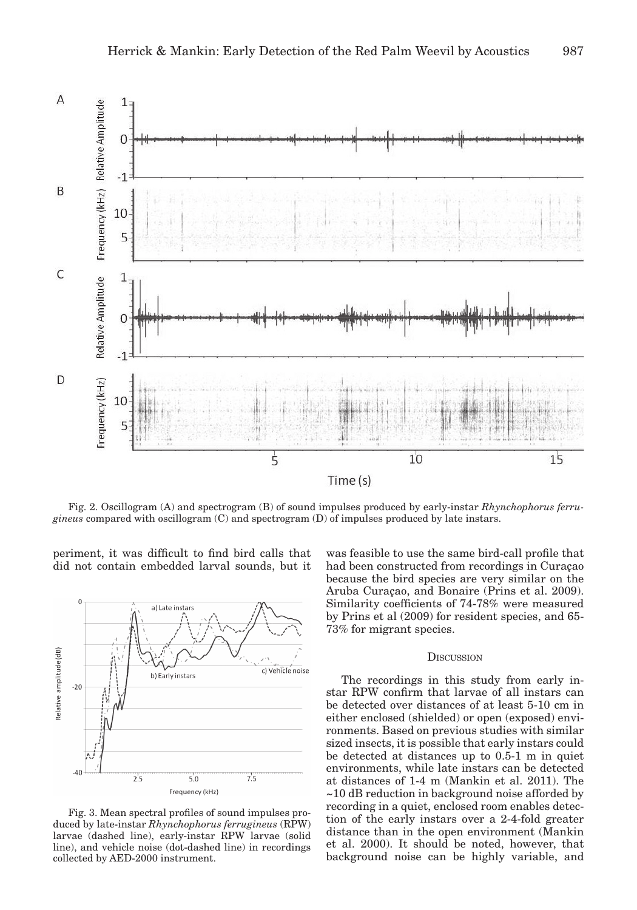

Fig. 2. Oscillogram (A) and spectrogram (B) of sound impulses produced by early-instar *Rhynchophorus ferrugineus* compared with oscillogram (C) and spectrogram (D) of impulses produced by late instars.

periment, it was difficult to find bird calls that did not contain embedded larval sounds, but it



Fig. 3. Mean spectral profiles of sound impulses produced by late-instar *Rhynchophorus ferrugineus* (RPW) larvae (dashed line), early-instar RPW larvae (solid line), and vehicle noise (dot-dashed line) in recordings collected by AED-2000 instrument.

was feasible to use the same bird-call profile that had been constructed from recordings in Curaçao because the bird species are very similar on the Aruba Curaçao, and Bonaire (Prins et al. 2009). Similarity coefficients of 74-78% were measured by Prins et al (2009) for resident species, and 65- 73% for migrant species.

## **D**ISCUSSION

The recordings in this study from early instar RPW confirm that larvae of all instars can be detected over distances of at least 5-10 cm in either enclosed (shielded) or open (exposed) environments. Based on previous studies with similar sized insects, it is possible that early instars could be detected at distances up to 0.5-1 m in quiet environments, while late instars can be detected at distances of 1-4 m (Mankin et al. 2011). The ~10 dB reduction in background noise afforded by recording in a quiet, enclosed room enables detection of the early instars over a 2-4-fold greater distance than in the open environment (Mankin et al. 2000). It should be noted, however, that background noise can be highly variable, and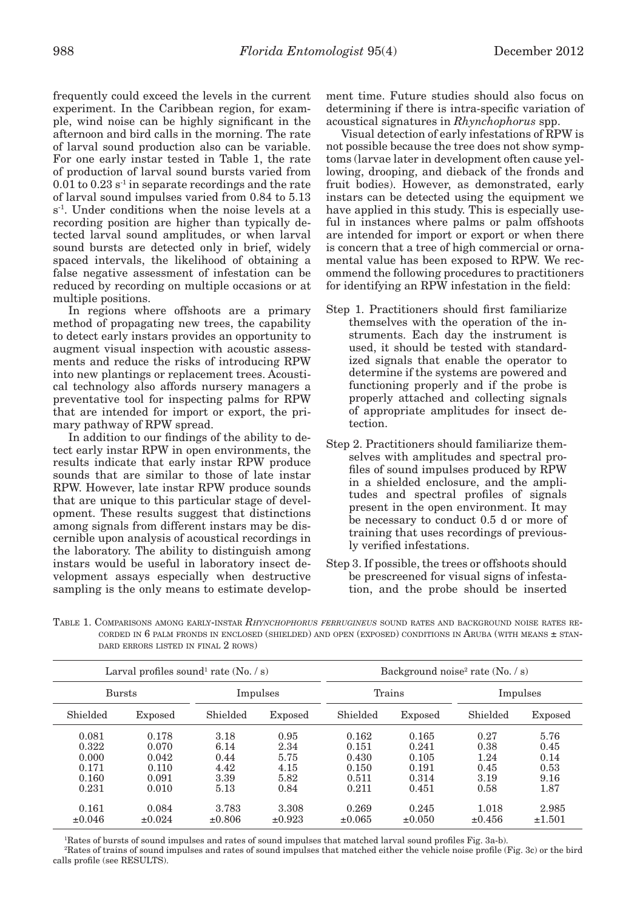frequently could exceed the levels in the current experiment. In the Caribbean region, for example, wind noise can be highly significant in the afternoon and bird calls in the morning. The rate of larval sound production also can be variable. For one early instar tested in Table 1, the rate of production of larval sound bursts varied from  $0.01$  to  $0.23$  s<sup>-1</sup> in separate recordings and the rate of larval sound impulses varied from 0.84 to 5.13 s<sup>-1</sup>. Under conditions when the noise levels at a recording position are higher than typically detected larval sound amplitudes, or when larval sound bursts are detected only in brief, widely spaced intervals, the likelihood of obtaining a false negative assessment of infestation can be reduced by recording on multiple occasions or at multiple positions.

In regions where offshoots are a primary method of propagating new trees, the capability to detect early instars provides an opportunity to augment visual inspection with acoustic assessments and reduce the risks of introducing RPW into new plantings or replacement trees. Acoustical technology also affords nursery managers a preventative tool for inspecting palms for RPW that are intended for import or export, the primary pathway of RPW spread.

In addition to our findings of the ability to detect early instar RPW in open environments, the results indicate that early instar RPW produce sounds that are similar to those of late instar RPW. However, late instar RPW produce sounds that are unique to this particular stage of development. These results suggest that distinctions among signals from different instars may be discernible upon analysis of acoustical recordings in the laboratory. The ability to distinguish among instars would be useful in laboratory insect development assays especially when destructive sampling is the only means to estimate development time. Future studies should also focus on determining if there is intra-specific variation of acoustical signatures in *Rhynchophorus* spp.

Visual detection of early infestations of RPW is not possible because the tree does not show symptoms (larvae later in development often cause yellowing, drooping, and dieback of the fronds and fruit bodies). However, as demonstrated, early instars can be detected using the equipment we have applied in this study. This is especially useful in instances where palms or palm offshoots are intended for import or export or when there is concern that a tree of high commercial or ornamental value has been exposed to RPW. We recommend the following procedures to practitioners for identifying an RPW infestation in the field:

- Step 1. Practitioners should first familiarize themselves with the operation of the instruments. Each day the instrument is used, it should be tested with standardized signals that enable the operator to determine if the systems are powered and functioning properly and if the probe is properly attached and collecting signals of appropriate amplitudes for insect detection.
- Step 2. Practitioners should familiarize themselves with amplitudes and spectral profiles of sound impulses produced by RPW in a shielded enclosure, and the amplitudes and spectral profiles of signals present in the open environment. It may be necessary to conduct 0.5 d or more of training that uses recordings of previously verified infestations.
- Step 3. If possible, the trees or offshoots should be prescreened for visual signs of infestation, and the probe should be inserted

Table 1. Comparisons among early-instar *Rhynchophorus ferrugineus* sound rates and background noise rates recorded in 6 palm fronds in enclosed (shielded) and open (exposed) conditions in Aruba (with means  $\pm$  standard errors listed in final 2 rows)

| Larval profiles sound <sup>1</sup> rate $(N_0, / s)$ |                                                    |                                              |                                              | Background noise <sup>2</sup> rate $(N_0, / s)$    |                                                    |                                              |                                              |
|------------------------------------------------------|----------------------------------------------------|----------------------------------------------|----------------------------------------------|----------------------------------------------------|----------------------------------------------------|----------------------------------------------|----------------------------------------------|
| <b>Bursts</b>                                        |                                                    | Impulses                                     |                                              | Trains                                             |                                                    | Impulses                                     |                                              |
| Shielded                                             | Exposed                                            | Shielded                                     | Exposed                                      | Shielded                                           | Exposed                                            | Shielded                                     | Exposed                                      |
| 0.081<br>0.322<br>0.000<br>0.171<br>0.160<br>0.231   | 0.178<br>0.070<br>0.042<br>0.110<br>0.091<br>0.010 | 3.18<br>6.14<br>0.44<br>4.42<br>3.39<br>5.13 | 0.95<br>2.34<br>5.75<br>4.15<br>5.82<br>0.84 | 0.162<br>0.151<br>0.430<br>0.150<br>0.511<br>0.211 | 0.165<br>0.241<br>0.105<br>0.191<br>0.314<br>0.451 | 0.27<br>0.38<br>1.24<br>0.45<br>3.19<br>0.58 | 5.76<br>0.45<br>0.14<br>0.53<br>9.16<br>1.87 |
| 0.161<br>$\pm 0.046$                                 | 0.084<br>$\pm 0.024$                               | 3.783<br>$\pm 0.806$                         | 3.308<br>$\pm 0.923$                         | 0.269<br>$\pm 0.065$                               | 0.245<br>$\pm 0.050$                               | 1.018<br>$\pm 0.456$                         | 2.985<br>$\pm 1.501$                         |

1 Rates of bursts of sound impulses and rates of sound impulses that matched larval sound profiles Fig. 3a-b).

2 Rates of trains of sound impulses and rates of sound impulses that matched either the vehicle noise profile (Fig. 3c) or the bird calls profile (see RESULTS).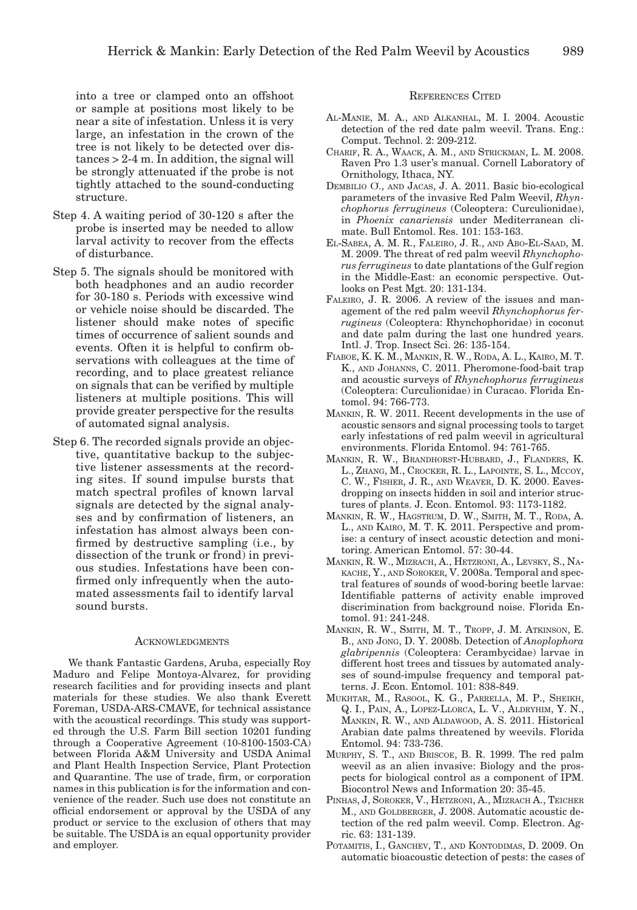into a tree or clamped onto an offshoot or sample at positions most likely to be near a site of infestation. Unless it is very large, an infestation in the crown of the tree is not likely to be detected over distances > 2-4 m. In addition, the signal will be strongly attenuated if the probe is not tightly attached to the sound-conducting structure.

- Step 4. A waiting period of 30-120 s after the probe is inserted may be needed to allow larval activity to recover from the effects of disturbance.
- Step 5. The signals should be monitored with both headphones and an audio recorder for 30-180 s. Periods with excessive wind or vehicle noise should be discarded. The listener should make notes of specific times of occurrence of salient sounds and events. Often it is helpful to confirm observations with colleagues at the time of recording, and to place greatest reliance on signals that can be verified by multiple listeners at multiple positions. This will provide greater perspective for the results of automated signal analysis.
- Step 6. The recorded signals provide an objective, quantitative backup to the subjective listener assessments at the recording sites. If sound impulse bursts that match spectral profiles of known larval signals are detected by the signal analyses and by confirmation of listeners, an infestation has almost always been confirmed by destructive sampling (i.e., by dissection of the trunk or frond) in previous studies. Infestations have been confirmed only infrequently when the automated assessments fail to identify larval sound bursts.

#### **ACKNOWLEDGMENTS**

We thank Fantastic Gardens, Aruba, especially Roy Maduro and Felipe Montoya-Alvarez, for providing research facilities and for providing insects and plant materials for these studies. We also thank Everett Foreman, USDA-ARS-CMAVE, for technical assistance with the acoustical recordings. This study was supported through the U.S. Farm Bill section 10201 funding through a Cooperative Agreement (10-8100-1503-CA) between Florida A&M University and USDA Animal and Plant Health Inspection Service, Plant Protection and Quarantine. The use of trade, firm, or corporation names in this publication is for the information and convenience of the reader. Such use does not constitute an official endorsement or approval by the USDA of any product or service to the exclusion of others that may be suitable. The USDA is an equal opportunity provider and employer.

## References Cited

- Al-Manie, M. A., and Alkanhal, M. I. 2004. Acoustic detection of the red date palm weevil. Trans. Eng.: Comput. Technol. 2: 209-212.
- Charif, R. A., Waack, A. M., and Strickman, L. M. 2008. Raven Pro 1.3 user's manual. Cornell Laboratory of Ornithology, Ithaca, NY.
- Dembilio Ơ., and Jacas, J. A. 2011. Basic bio-ecological parameters of the invasive Red Palm Weevil, *Rhynchophorus ferrugineus* (Coleoptera: Curculionidae), in *Phoenix canariensis* under Mediterranean climate. Bull Entomol. Res. 101: 153-163.
- El-Sabea, A. M. R., Faleiro, J. R., and Abo-El-Saad, M. M. 2009. The threat of red palm weevil *Rhynchophorus ferrugineus* to date plantations of the Gulf region in the Middle-East: an economic perspective. Outlooks on Pest Mgt. 20: 131-134.
- Faleiro, J. R. 2006. A review of the issues and management of the red palm weevil *Rhynchophorus ferrugineus* (Coleoptera: Rhynchophoridae) in coconut and date palm during the last one hundred years. Intl. J. Trop. Insect Sci. 26: 135-154.
- Fiaboe, K. K. M., Mankin, R. W., Roda, A. L., Kairo, M. T. K., AND JOHANNS, C. 2011. Pheromone-food-bait trap and acoustic surveys of *Rhynchophorus ferrugineus* (Coleoptera: Curculionidae) in Curacao. Florida Entomol. 94: 766-773.
- Mankin, R. W. 2011. Recent developments in the use of acoustic sensors and signal processing tools to target early infestations of red palm weevil in agricultural environments. Florida Entomol. 94: 761-765.
- Mankin, R. W., Brandhorst-Hubbard, J., Flanders, K. L., Zhang, M., Crocker, R. L., Lapointe, S. L., Mccoy, C. W., Fisher, J. R., and Weaver, D. K. 2000. Eavesdropping on insects hidden in soil and interior structures of plants. J. Econ. Entomol. 93: 1173-1182.
- Mankin, R. W., Hagstrum, D. W., Smith, M. T., Roda, A. L., and Kairo, M. T. K. 2011. Perspective and promise: a century of insect acoustic detection and monitoring. American Entomol. 57: 30-44.
- MANKIN, R. W., MIZRACH, A., HETZRONI, A., LEVSKY, S., NAkache, Y., and Soroker, V. 2008a. Temporal and spectral features of sounds of wood-boring beetle larvae: Identifiable patterns of activity enable improved discrimination from background noise. Florida Entomol. 91: 241-248.
- Mankin, R. W., Smith, M. T., Tropp, J. M. Atkinson, E. B., and Jong, D. Y. 2008b. Detection of *Anoplophora glabripennis* (Coleoptera: Cerambycidae) larvae in different host trees and tissues by automated analyses of sound-impulse frequency and temporal patterns. J. Econ. Entomol. 101: 838-849.
- Mukhtar, M., Rasool, K. G., Parrella, M. P., Sheikh, Q. I., Pain, A., Lopez-Llorca, L. V., Aldryhim, Y. N., Mankin, R. W., and Aldawood, A. S. 2011. Historical Arabian date palms threatened by weevils. Florida Entomol. 94: 733-736.
- Murphy, S. T., and Briscoe, B. R. 1999. The red palm weevil as an alien invasive: Biology and the prospects for biological control as a component of IPM. Biocontrol News and Information 20: 35-45.
- PINHAS, J, SOROKER, V., HETZRONI, A., MIZRACH A., TEICHER M., AND GOLDBERGER, J. 2008. Automatic acoustic detection of the red palm weevil. Comp. Electron. Agric. 63: 131-139.
- POTAMITIS, I., GANCHEV, T., AND KONTODIMAS, D. 2009. On automatic bioacoustic detection of pests: the cases of